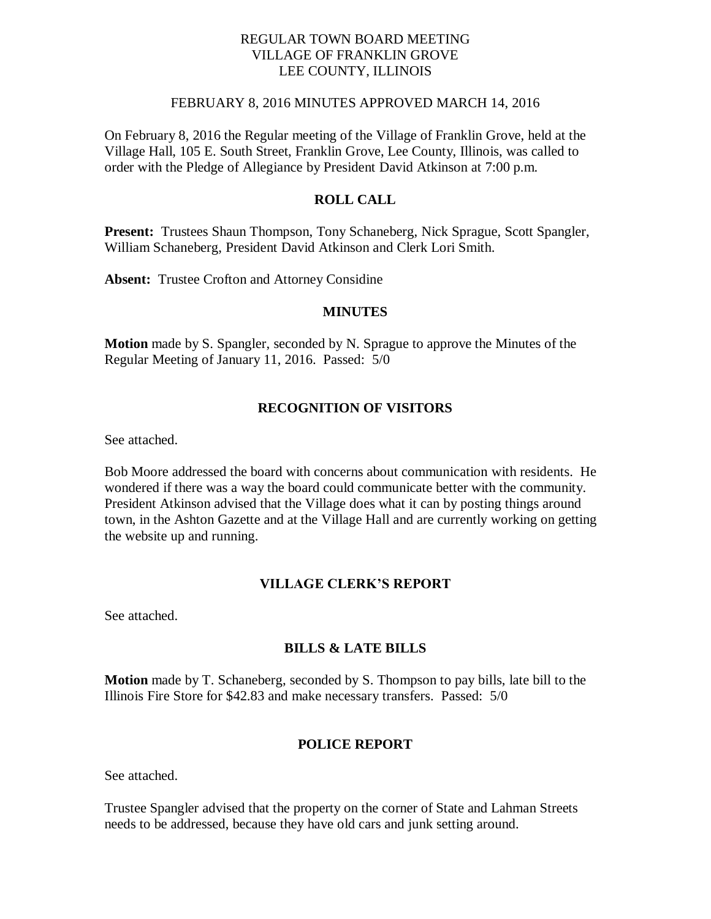## REGULAR TOWN BOARD MEETING VILLAGE OF FRANKLIN GROVE LEE COUNTY, ILLINOIS

### FEBRUARY 8, 2016 MINUTES APPROVED MARCH 14, 2016

On February 8, 2016 the Regular meeting of the Village of Franklin Grove, held at the Village Hall, 105 E. South Street, Franklin Grove, Lee County, Illinois, was called to order with the Pledge of Allegiance by President David Atkinson at 7:00 p.m.

## **ROLL CALL**

**Present:** Trustees Shaun Thompson, Tony Schaneberg, Nick Sprague, Scott Spangler, William Schaneberg, President David Atkinson and Clerk Lori Smith.

**Absent:** Trustee Crofton and Attorney Considine

#### **MINUTES**

**Motion** made by S. Spangler, seconded by N. Sprague to approve the Minutes of the Regular Meeting of January 11, 2016. Passed: 5/0

#### **RECOGNITION OF VISITORS**

See attached.

Bob Moore addressed the board with concerns about communication with residents. He wondered if there was a way the board could communicate better with the community. President Atkinson advised that the Village does what it can by posting things around town, in the Ashton Gazette and at the Village Hall and are currently working on getting the website up and running.

# **VILLAGE CLERK'S REPORT**

See attached.

#### **BILLS & LATE BILLS**

**Motion** made by T. Schaneberg, seconded by S. Thompson to pay bills, late bill to the Illinois Fire Store for \$42.83 and make necessary transfers. Passed: 5/0

#### **POLICE REPORT**

See attached.

Trustee Spangler advised that the property on the corner of State and Lahman Streets needs to be addressed, because they have old cars and junk setting around.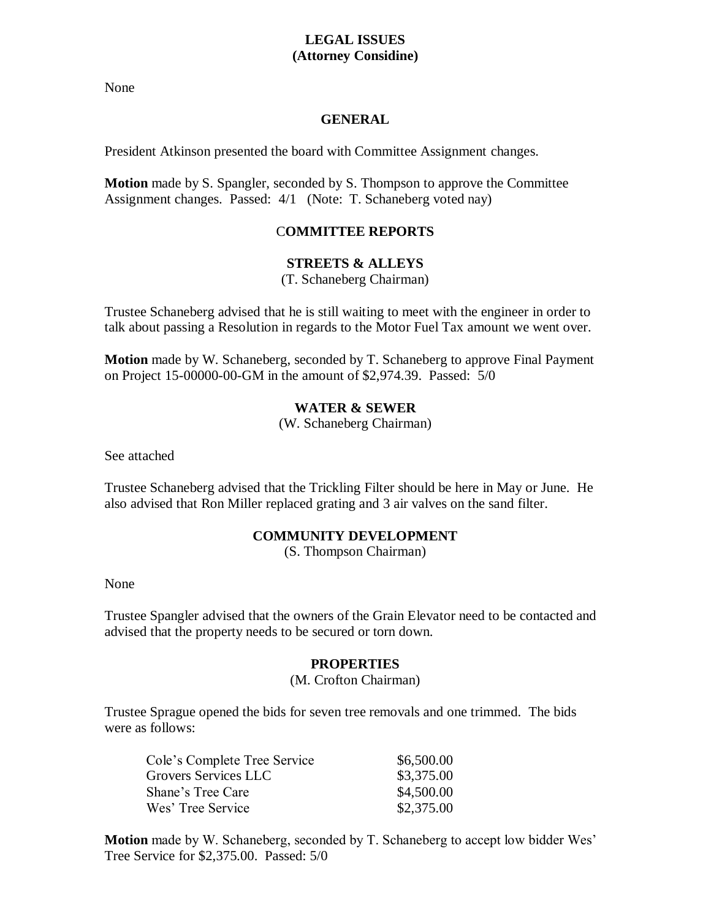# **LEGAL ISSUES (Attorney Considine)**

None

#### **GENERAL**

President Atkinson presented the board with Committee Assignment changes.

**Motion** made by S. Spangler, seconded by S. Thompson to approve the Committee Assignment changes. Passed: 4/1 (Note: T. Schaneberg voted nay)

# C**OMMITTEE REPORTS**

## **STREETS & ALLEYS**

(T. Schaneberg Chairman)

Trustee Schaneberg advised that he is still waiting to meet with the engineer in order to talk about passing a Resolution in regards to the Motor Fuel Tax amount we went over.

**Motion** made by W. Schaneberg, seconded by T. Schaneberg to approve Final Payment on Project 15-00000-00-GM in the amount of \$2,974.39. Passed: 5/0

## **WATER & SEWER**

(W. Schaneberg Chairman)

See attached

Trustee Schaneberg advised that the Trickling Filter should be here in May or June. He also advised that Ron Miller replaced grating and 3 air valves on the sand filter.

## **COMMUNITY DEVELOPMENT**

(S. Thompson Chairman)

None

Trustee Spangler advised that the owners of the Grain Elevator need to be contacted and advised that the property needs to be secured or torn down.

## **PROPERTIES**

#### (M. Crofton Chairman)

Trustee Sprague opened the bids for seven tree removals and one trimmed. The bids were as follows:

| Cole's Complete Tree Service | \$6,500.00 |
|------------------------------|------------|
| Grovers Services LLC         | \$3,375.00 |
| Shane's Tree Care            | \$4,500.00 |
| Wes' Tree Service            | \$2,375.00 |

**Motion** made by W. Schaneberg, seconded by T. Schaneberg to accept low bidder Wes' Tree Service for \$2,375.00. Passed: 5/0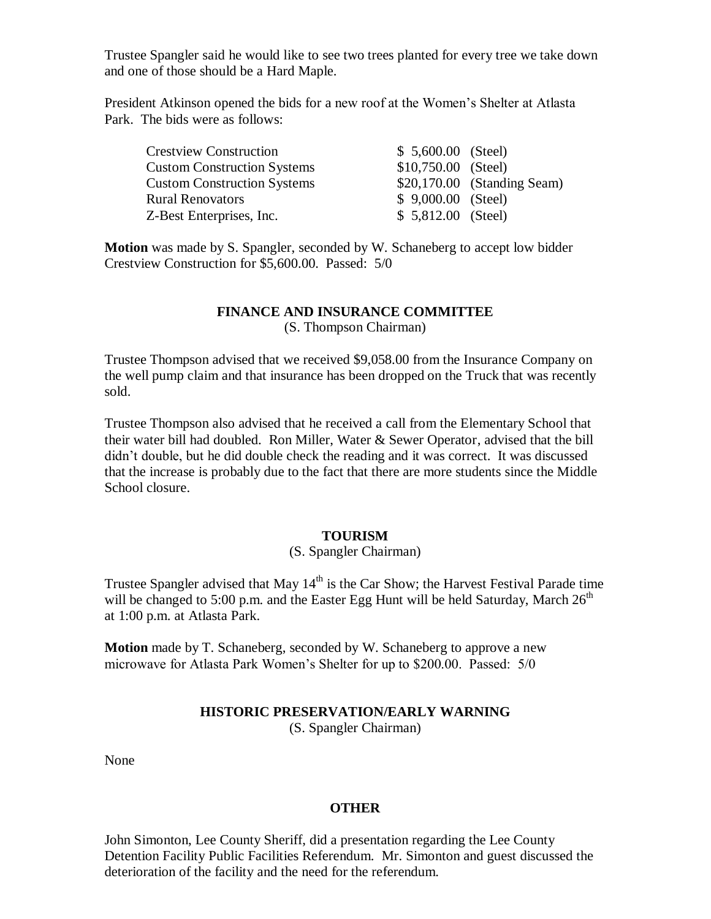Trustee Spangler said he would like to see two trees planted for every tree we take down and one of those should be a Hard Maple.

President Atkinson opened the bids for a new roof at the Women's Shelter at Atlasta Park. The bids were as follows:

| <b>Crestview Construction</b>      | $$5,600.00$ (Steel) |                             |
|------------------------------------|---------------------|-----------------------------|
| <b>Custom Construction Systems</b> | \$10,750.00 (Steel) |                             |
| <b>Custom Construction Systems</b> |                     | \$20,170.00 (Standing Seam) |
| <b>Rural Renovators</b>            | $$9,000.00$ (Steel) |                             |
| Z-Best Enterprises, Inc.           | $$5,812.00$ (Steel) |                             |

**Motion** was made by S. Spangler, seconded by W. Schaneberg to accept low bidder Crestview Construction for \$5,600.00. Passed: 5/0

#### **FINANCE AND INSURANCE COMMITTEE** (S. Thompson Chairman)

Trustee Thompson advised that we received \$9,058.00 from the Insurance Company on the well pump claim and that insurance has been dropped on the Truck that was recently sold.

Trustee Thompson also advised that he received a call from the Elementary School that their water bill had doubled. Ron Miller, Water & Sewer Operator, advised that the bill didn't double, but he did double check the reading and it was correct. It was discussed that the increase is probably due to the fact that there are more students since the Middle School closure.

## **TOURISM**

# (S. Spangler Chairman)

Trustee Spangler advised that May  $14<sup>th</sup>$  is the Car Show; the Harvest Festival Parade time will be changed to 5:00 p.m. and the Easter Egg Hunt will be held Saturday, March  $26<sup>th</sup>$ at 1:00 p.m. at Atlasta Park.

**Motion** made by T. Schaneberg, seconded by W. Schaneberg to approve a new microwave for Atlasta Park Women's Shelter for up to \$200.00. Passed: 5/0

# **HISTORIC PRESERVATION/EARLY WARNING**

(S. Spangler Chairman)

None

#### **OTHER**

John Simonton, Lee County Sheriff, did a presentation regarding the Lee County Detention Facility Public Facilities Referendum. Mr. Simonton and guest discussed the deterioration of the facility and the need for the referendum.